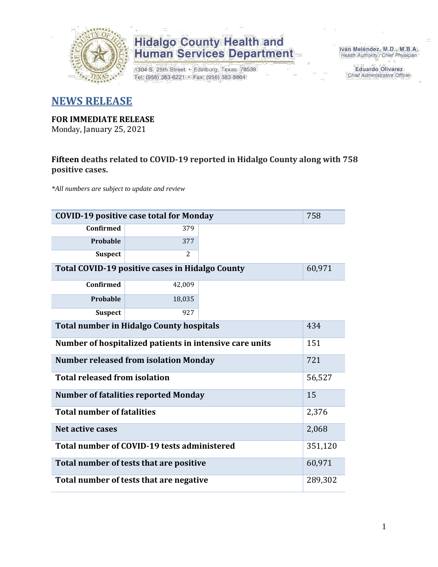

1304 S. 25th Street · Edinburg, Texas 78539 Tel: (956) 383-6221 · Fax: (956) 383-8864

Iván Meléndez, M.D., M.B.A. Health Authority / Chief Physician

> **Eduardo Olivarez** Chief Administrative Officer

#### **NEWS RELEASE**

#### **FOR IMMEDIATE RELEASE**

Monday, January 25, 2021

#### **Fifteen deaths related to COVID-19 reported in Hidalgo County along with 758 positive cases.**

*\*All numbers are subject to update and review*

| 758<br><b>COVID-19 positive case total for Monday</b>  |                                                         |  |        |  |  |  |  |  |  |  |
|--------------------------------------------------------|---------------------------------------------------------|--|--------|--|--|--|--|--|--|--|
| <b>Confirmed</b>                                       | 379                                                     |  |        |  |  |  |  |  |  |  |
| Probable                                               | 377                                                     |  |        |  |  |  |  |  |  |  |
| <b>Suspect</b>                                         | 2                                                       |  |        |  |  |  |  |  |  |  |
| Total COVID-19 positive cases in Hidalgo County        |                                                         |  |        |  |  |  |  |  |  |  |
| <b>Confirmed</b>                                       | 42,009                                                  |  |        |  |  |  |  |  |  |  |
| Probable                                               | 18,035                                                  |  |        |  |  |  |  |  |  |  |
| <b>Suspect</b>                                         | 927                                                     |  |        |  |  |  |  |  |  |  |
| <b>Total number in Hidalgo County hospitals</b><br>434 |                                                         |  |        |  |  |  |  |  |  |  |
|                                                        | Number of hospitalized patients in intensive care units |  | 151    |  |  |  |  |  |  |  |
|                                                        | <b>Number released from isolation Monday</b>            |  | 721    |  |  |  |  |  |  |  |
| <b>Total released from isolation</b>                   |                                                         |  | 56,527 |  |  |  |  |  |  |  |
|                                                        | <b>Number of fatalities reported Monday</b>             |  | 15     |  |  |  |  |  |  |  |
| <b>Total number of fatalities</b>                      |                                                         |  | 2,376  |  |  |  |  |  |  |  |
| Net active cases                                       |                                                         |  | 2,068  |  |  |  |  |  |  |  |
|                                                        | Total number of COVID-19 tests administered<br>351,120  |  |        |  |  |  |  |  |  |  |
| 60,971<br>Total number of tests that are positive      |                                                         |  |        |  |  |  |  |  |  |  |
| Total number of tests that are negative                |                                                         |  |        |  |  |  |  |  |  |  |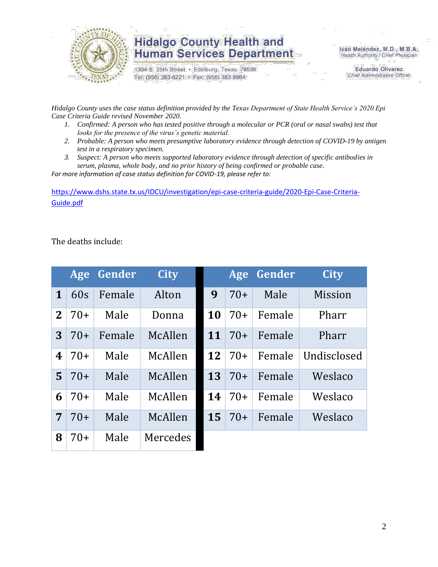

1304 S. 25th Street · Edinburg, Texas 78539 Tel: (956) 383-6221 · Fax: (956) 383-8864

Iván Meléndez, M.D., M.B.A. Health Authority / Chief Physician

> **Eduardo Olivarez** Chief Administrative Officer

*Hidalgo County uses the case status definition provided by the Texas Department of State Health Service's 2020 Epi Case Criteria Guide revised November 2020.*

- *1. Confirmed: A person who has tested positive through a molecular or PCR (oral or nasal swabs) test that looks for the presence of the virus's genetic material.*
- *2. Probable: A person who meets presumptive laboratory evidence through detection of COVID-19 by antigen test in a respiratory specimen.*
- *3. Suspect: A person who meets supported laboratory evidence through detection of specific antibodies in serum, plasma, whole body, and no prior history of being confirmed or probable case.*

*For more information of case status definition for COVID-19, please refer to:*

[https://www.dshs.state.tx.us/IDCU/investigation/epi-case-criteria-guide/2020-Epi-Case-Criteria-](https://www.dshs.state.tx.us/IDCU/investigation/epi-case-criteria-guide/2020-Epi-Case-Criteria-Guide.pdf)[Guide.pdf](https://www.dshs.state.tx.us/IDCU/investigation/epi-case-criteria-guide/2020-Epi-Case-Criteria-Guide.pdf)

The deaths include:

|                | Age   | Gender | <b>City</b> |    | Age   | Gender | <b>City</b>    |
|----------------|-------|--------|-------------|----|-------|--------|----------------|
| $\mathbf 1$    | 60s   | Female | Alton       | 9  | $70+$ | Male   | <b>Mission</b> |
| $\mathbf{2}$   | $70+$ | Male   | Donna       | 10 | $70+$ | Female | Pharr          |
| 3              | $70+$ | Female | McAllen     | 11 | $70+$ | Female | Pharr          |
| 4              | $70+$ | Male   | McAllen     | 12 | $70+$ | Female | Undisclosed    |
| $\overline{5}$ | $70+$ | Male   | McAllen     | 13 | $70+$ | Female | Weslaco        |
| 6              | $70+$ | Male   | McAllen     | 14 | $70+$ | Female | Weslaco        |
| 7              | $70+$ | Male   | McAllen     | 15 | $70+$ | Female | Weslaco        |
| 8              | $70+$ | Male   | Mercedes    |    |       |        |                |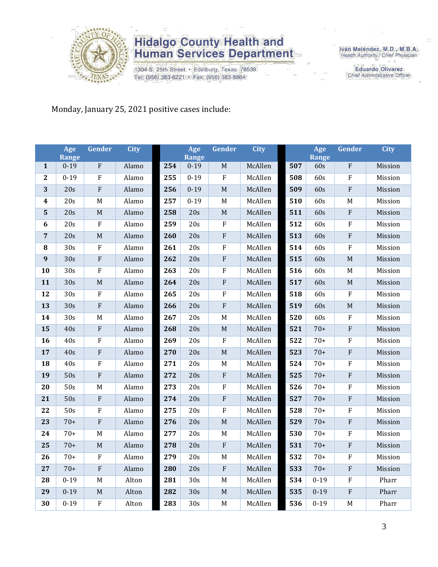

1304 S. 25th Street · Edinburg, Texas 78539 Tel: (956) 383-6221 · Fax: (956) 383-8864

Iván Meléndez, M.D., M.B.A.<br>Health Authority / Chief Physician

**Eduardo Olivarez** Chief Administrative Officer

#### Monday, January 25, 2021 positive cases include:

|                         | Age                      | <b>Gender</b>             | <b>City</b> |     | Age               | <b>Gender</b>           | <b>City</b> |     | Age          | Gender      | <b>City</b> |
|-------------------------|--------------------------|---------------------------|-------------|-----|-------------------|-------------------------|-------------|-----|--------------|-------------|-------------|
| $\mathbf{1}$            | <b>Range</b><br>$0 - 19$ | $\overline{F}$            | Alamo       | 254 | Range<br>$0 - 19$ | M                       | McAllen     | 507 | Range<br>60s | F           | Mission     |
| $\mathbf 2$             | $0 - 19$                 | $\rm F$                   | Alamo       | 255 | $0 - 19$          | $\rm F$                 | McAllen     | 508 | 60s          | ${\bf F}$   | Mission     |
| 3                       | 20s                      | $\rm F$                   | Alamo       | 256 | $0 - 19$          | $\mathbf M$             | McAllen     | 509 | 60s          | ${\bf F}$   | Mission     |
| $\overline{\mathbf{4}}$ | 20s                      | $\mathbf M$               | Alamo       | 257 | $0 - 19$          | $\mathbf M$             | McAllen     | 510 | 60s          | M           | Mission     |
| 5                       | 20s                      | M                         | Alamo       | 258 | 20s               | $\mathbf M$             | McAllen     | 511 | 60s          | $\rm F$     | Mission     |
| 6                       | 20s                      | $\rm F$                   | Alamo       | 259 | 20s               | $\rm F$                 | McAllen     | 512 | 60s          | ${\bf F}$   | Mission     |
| 7                       | 20s                      | $\mathbf M$               | Alamo       | 260 | 20s               | $\rm F$                 | McAllen     | 513 | 60s          | $\rm F$     | Mission     |
| ${\bf 8}$               | 30s                      | $\rm F$                   | Alamo       | 261 | 20s               | $\rm F$                 | McAllen     | 514 | 60s          | ${\bf F}$   | Mission     |
| 9                       | 30s                      | ${\bf F}$                 | Alamo       | 262 | 20s               | $\overline{\mathrm{F}}$ | McAllen     | 515 | 60s          | M           | Mission     |
| 10                      | 30s                      | ${\bf F}$                 | Alamo       | 263 | 20s               | $\rm F$                 | McAllen     | 516 | 60s          | $\mathbf M$ | Mission     |
| 11                      | 30s                      | M                         | Alamo       | 264 | 20s               | ${\bf F}$               | McAllen     | 517 | 60s          | $\mathbf M$ | Mission     |
| 12                      | $\overline{30s}$         | $\rm F$                   | Alamo       | 265 | 20s               | $\rm F$                 | McAllen     | 518 | 60s          | ${\bf F}$   | Mission     |
| 13                      | 30s                      | $\rm F$                   | Alamo       | 266 | 20s               | $\rm F$                 | McAllen     | 519 | 60s          | $\mathbf M$ | Mission     |
| 14                      | 30s                      | $\mathbf M$               | Alamo       | 267 | 20s               | $\mathbf M$             | McAllen     | 520 | 60s          | F           | Mission     |
| 15                      | 40s                      | ${\bf F}$                 | Alamo       | 268 | 20s               | $\mathbf M$             | McAllen     | 521 | $70+$        | ${\bf F}$   | Mission     |
| 16                      | 40s                      | $\rm F$                   | Alamo       | 269 | 20s               | $\rm F$                 | McAllen     | 522 | $70+$        | ${\bf F}$   | Mission     |
| 17                      | 40s                      | $\rm F$                   | Alamo       | 270 | 20s               | $\mathbf M$             | McAllen     | 523 | $70+$        | ${\bf F}$   | Mission     |
| 18                      | 40s                      | F                         | Alamo       | 271 | 20s               | $\mathbf M$             | McAllen     | 524 | $70+$        | F           | Mission     |
| 19                      | 50s                      | ${\bf F}$                 | Alamo       | 272 | 20s               | $\rm F$                 | McAllen     | 525 | $70+$        | ${\bf F}$   | Mission     |
| 20                      | 50s                      | $\mathbf M$               | Alamo       | 273 | 20s               | $\rm F$                 | McAllen     | 526 | $70+$        | ${\bf F}$   | Mission     |
| 21                      | 50s                      | $\boldsymbol{\mathrm{F}}$ | Alamo       | 274 | 20s               | $\rm F$                 | McAllen     | 527 | $70+$        | ${\bf F}$   | Mission     |
| 22                      | 50s                      | ${\bf F}$                 | Alamo       | 275 | 20s               | $\rm F$                 | McAllen     | 528 | $70+$        | ${\bf F}$   | Mission     |
| 23                      | $70+$                    | ${\bf F}$                 | Alamo       | 276 | 20s               | $\mathbf M$             | McAllen     | 529 | $70+$        | ${\bf F}$   | Mission     |
| 24                      | $70+$                    | M                         | Alamo       | 277 | 20s               | $\mathbf M$             | McAllen     | 530 | $70+$        | F           | Mission     |
| 25                      | $70+$                    | $\mathbf M$               | Alamo       | 278 | 20s               | $\rm F$                 | McAllen     | 531 | $70+$        | ${\bf F}$   | Mission     |
| 26                      | $70+$                    | F                         | Alamo       | 279 | 20s               | $\mathbf M$             | McAllen     | 532 | $70+$        | F           | Mission     |
| 27                      | $70+$                    | $\boldsymbol{\mathrm{F}}$ | Alamo       | 280 | 20s               | $\rm F$                 | McAllen     | 533 | $70+$        | ${\bf F}$   | Mission     |
| 28                      | $0 - 19$                 | M                         | Alton       | 281 | 30s               | M                       | McAllen     | 534 | $0 - 19$     | ${\bf F}$   | Pharr       |
| 29                      | $0 - 19$                 | $\mathbf M$               | Alton       | 282 | 30s               | $\mathbf M$             | McAllen     | 535 | $0 - 19$     | ${\bf F}$   | Pharr       |
| 30                      | $0 - 19$                 | ${\bf F}$                 | Alton       | 283 | 30s               | $\mathbf M$             | McAllen     | 536 | $0 - 19$     | $\mathbf M$ | Pharr       |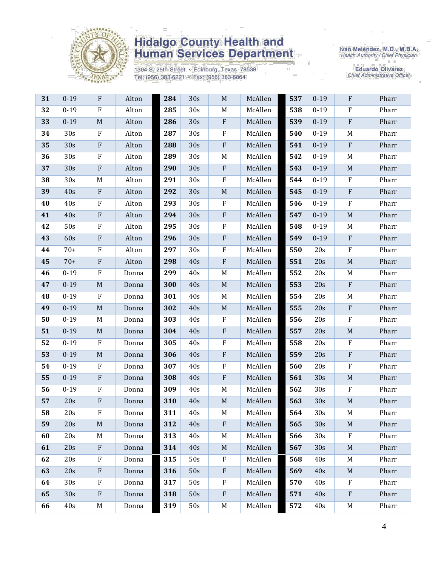

1304 S. 25th Street · Edinburg, Texas 78539 Tel: (956) 383-6221 · Fax: (956) 383-8864

Iván Meléndez, M.D., M.B.A.<br>Health Authority / Chief Physician

| 31 | $0 - 19$        | $\mathbf F$               | Alton | 284 | 30s | $\mathbf M$  | McAllen | 537 | $0 - 19$        | $\rm F$                   | Pharr |
|----|-----------------|---------------------------|-------|-----|-----|--------------|---------|-----|-----------------|---------------------------|-------|
| 32 | $0 - 19$        | ${\bf F}$                 | Alton | 285 | 30s | M            | McAllen | 538 | $0 - 19$        | $\rm F$                   | Pharr |
| 33 | $0 - 19$        | $\mathbf M$               | Alton | 286 | 30s | $\,$ F       | McAllen | 539 | $0 - 19$        | $\rm F$                   | Pharr |
| 34 | 30s             | $\rm F$                   | Alton | 287 | 30s | ${\bf F}$    | McAllen | 540 | $0 - 19$        | $\mathbf M$               | Pharr |
| 35 | 30s             | ${\bf F}$                 | Alton | 288 | 30s | ${\bf F}$    | McAllen | 541 | $0 - 19$        | $\boldsymbol{\mathrm{F}}$ | Pharr |
| 36 | 30s             | ${\bf F}$                 | Alton | 289 | 30s | M            | McAllen | 542 | $0 - 19$        | M                         | Pharr |
| 37 | 30s             | ${\bf F}$                 | Alton | 290 | 30s | $\rm F$      | McAllen | 543 | $0 - 19$        | $\mathbf M$               | Pharr |
| 38 | 30s             | M                         | Alton | 291 | 30s | ${\bf F}$    | McAllen | 544 | $0 - 19$        | $\mathbf F$               | Pharr |
| 39 | 40s             | $\boldsymbol{\mathrm{F}}$ | Alton | 292 | 30s | $\mathbf M$  | McAllen | 545 | $0 - 19$        | $\boldsymbol{\mathrm{F}}$ | Pharr |
| 40 | 40s             | ${\bf F}$                 | Alton | 293 | 30s | $\mathbf F$  | McAllen | 546 | $0 - 19$        | ${\bf F}$                 | Pharr |
| 41 | 40s             | ${\bf F}$                 | Alton | 294 | 30s | ${\bf F}$    | McAllen | 547 | $0 - 19$        | $\mathbf M$               | Pharr |
| 42 | 50s             | ${\bf F}$                 | Alton | 295 | 30s | $\rm F$      | McAllen | 548 | $0 - 19$        | M                         | Pharr |
| 43 | 60s             | $\boldsymbol{\mathrm{F}}$ | Alton | 296 | 30s | $\rm F$      | McAllen | 549 | $0 - 19$        | $\, {\bf F}$              | Pharr |
| 44 | $70+$           | $\boldsymbol{\mathrm{F}}$ | Alton | 297 | 30s | $\rm F$      | McAllen | 550 | 20s             | ${\bf F}$                 | Pharr |
| 45 | $70+$           | $\rm F$                   | Alton | 298 | 40s | $\rm F$      | McAllen | 551 | 20s             | $\mathbf M$               | Pharr |
| 46 | $0 - 19$        | ${\bf F}$                 | Donna | 299 | 40s | M            | McAllen | 552 | 20s             | M                         | Pharr |
| 47 | $0 - 19$        | M                         | Donna | 300 | 40s | $\mathbf M$  | McAllen | 553 | 20s             | $\rm F$                   | Pharr |
| 48 | $0 - 19$        | $\rm F$                   | Donna | 301 | 40s | M            | McAllen | 554 | 20s             | M                         | Pharr |
| 49 | $0 - 19$        | $\mathbf M$               | Donna | 302 | 40s | $\mathbf M$  | McAllen | 555 | 20s             | $\boldsymbol{\mathrm{F}}$ | Pharr |
| 50 | $0 - 19$        | M                         | Donna | 303 | 40s | $\rm F$      | McAllen | 556 | 20s             | $\rm F$                   | Pharr |
| 51 | $0 - 19$        | $\mathbf M$               | Donna | 304 | 40s | ${\bf F}$    | McAllen | 557 | 20s             | $\mathbf M$               | Pharr |
| 52 | $0 - 19$        | ${\bf F}$                 | Donna | 305 | 40s | ${\bf F}$    | McAllen | 558 | 20s             | $\rm F$                   | Pharr |
| 53 | $0 - 19$        | M                         | Donna | 306 | 40s | ${\bf F}$    | McAllen | 559 | 20s             | ${\bf F}$                 | Pharr |
| 54 | $0 - 19$        | ${\bf F}$                 | Donna | 307 | 40s | ${\bf F}$    | McAllen | 560 | 20s             | ${\bf F}$                 | Pharr |
| 55 | $0 - 19$        | ${\bf F}$                 | Donna | 308 | 40s | ${\bf F}$    | McAllen | 561 | 30s             | $\mathbf M$               | Pharr |
| 56 | $0 - 19$        | ${\bf F}$                 | Donna | 309 | 40s | M            | McAllen | 562 | 30s             | $\rm F$                   | Pharr |
| 57 | 20s             | ${\bf F}$                 | Donna | 310 | 40s | $\mathbf M$  | McAllen | 563 | 30s             | $\mathbf M$               | Pharr |
| 58 | 20s             | F                         | Donna | 311 | 40s | $\mathbf M$  | McAllen | 564 | 30 <sub>s</sub> | M                         | Pharr |
| 59 | 20s             | M                         | Donna | 312 | 40s | $\mathbf{F}$ | McAllen | 565 | 30s             | M                         | Pharr |
| 60 | 20s             | M                         | Donna | 313 | 40s | M            | McAllen | 566 | 30s             | $\mathbf{F}$              | Pharr |
| 61 | 20s             | $\rm F$                   | Donna | 314 | 40s | $\mathbf M$  | McAllen | 567 | 30s             | $\mathbf M$               | Pharr |
| 62 | 20s             | ${\bf F}$                 | Donna | 315 | 50s | $\rm F$      | McAllen | 568 | 40s             | M                         | Pharr |
| 63 | 20s             | $\boldsymbol{\mathrm{F}}$ | Donna | 316 | 50s | ${\bf F}$    | McAllen | 569 | 40s             | M                         | Pharr |
| 64 | 30 <sub>s</sub> | F                         | Donna | 317 | 50s | $\mathbf F$  | McAllen | 570 | 40s             | $\rm F$                   | Pharr |
| 65 | 30 <sub>s</sub> | $\mathbf{F}$              | Donna | 318 | 50s | ${\bf F}$    | McAllen | 571 | 40s             | $\mathbf{F}$              | Pharr |
| 66 | 40s             | M                         | Donna | 319 | 50s | $\mathbf M$  | McAllen | 572 | 40s             | M                         | Pharr |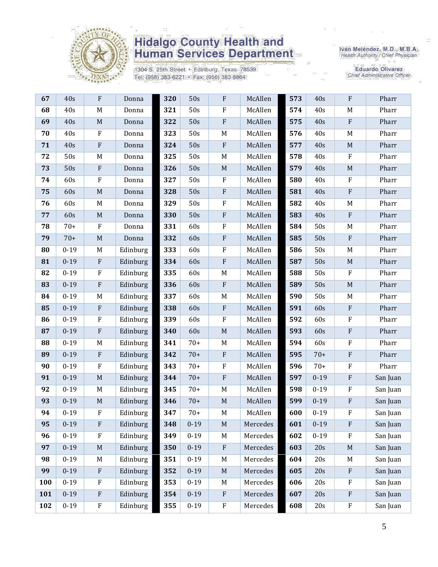

1304 S. 25th Street · Edinburg, Texas 78539 Tel: (956) 383-6221 · Fax: (956) 383-8864

Iván Meléndez, M.D., M.B.A.<br>Health Authority / Chief Physician

| 67  | 40s      | ${\bf F}$    | Donna    | 320 | 50s      | ${\bf F}$   | McAllen  | 573 | 40s      | $\rm F$      | Pharr    |
|-----|----------|--------------|----------|-----|----------|-------------|----------|-----|----------|--------------|----------|
| 68  | 40s      | M            | Donna    | 321 | 50s      | ${\bf F}$   | McAllen  | 574 | 40s      | M            | Pharr    |
| 69  | 40s      | M            | Donna    | 322 | 50s      | ${\bf F}$   | McAllen  | 575 | 40s      | $\rm F$      | Pharr    |
| 70  | 40s      | $\mathbf{F}$ | Donna    | 323 | 50s      | M           | McAllen  | 576 | 40s      | M            | Pharr    |
| 71  | 40s      | $\rm F$      | Donna    | 324 | 50s      | ${\bf F}$   | McAllen  | 577 | 40s      | $\mathbf M$  | Pharr    |
| 72  | 50s      | M            | Donna    | 325 | 50s      | $M_{\rm}$   | McAllen  | 578 | 40s      | $\rm F$      | Pharr    |
| 73  | 50s      | $\rm F$      | Donna    | 326 | 50s      | $\mathbf M$ | McAllen  | 579 | 40s      | $\mathbf M$  | Pharr    |
| 74  | 60s      | $\rm F$      | Donna    | 327 | 50s      | ${\bf F}$   | McAllen  | 580 | 40s      | $\rm F$      | Pharr    |
| 75  | 60s      | $\mathbf M$  | Donna    | 328 | 50s      | ${\bf F}$   | McAllen  | 581 | 40s      | $\rm F$      | Pharr    |
| 76  | 60s      | M            | Donna    | 329 | 50s      | F           | McAllen  | 582 | 40s      | M            | Pharr    |
| 77  | 60s      | $\mathbf M$  | Donna    | 330 | 50s      | ${\bf F}$   | McAllen  | 583 | 40s      | $\rm F$      | Pharr    |
| 78  | $70+$    | $\mathbf{F}$ | Donna    | 331 | 60s      | ${\bf F}$   | McAllen  | 584 | 50s      | M            | Pharr    |
| 79  | $70+$    | $\mathbf M$  | Donna    | 332 | 60s      | ${\bf F}$   | McAllen  | 585 | 50s      | $\mathbf{F}$ | Pharr    |
| 80  | $0 - 19$ | M            | Edinburg | 333 | 60s      | ${\bf F}$   | McAllen  | 586 | 50s      | M            | Pharr    |
| 81  | $0 - 19$ | $\rm F$      | Edinburg | 334 | 60s      | ${\bf F}$   | McAllen  | 587 | 50s      | $\mathbf M$  | Pharr    |
| 82  | $0 - 19$ | $\rm F$      | Edinburg | 335 | 60s      | $M_{\odot}$ | McAllen  | 588 | 50s      | $\rm F$      | Pharr    |
| 83  | $0 - 19$ | $\rm F$      | Edinburg | 336 | 60s      | ${\bf F}$   | McAllen  | 589 | 50s      | $\mathbf M$  | Pharr    |
| 84  | $0 - 19$ | M            | Edinburg | 337 | 60s      | $\mathbf M$ | McAllen  | 590 | 50s      | M            | Pharr    |
| 85  | $0 - 19$ | $\rm F$      | Edinburg | 338 | 60s      | ${\bf F}$   | McAllen  | 591 | 60s      | $\rm F$      | Pharr    |
| 86  | $0 - 19$ | $\rm F$      | Edinburg | 339 | 60s      | $\rm F$     | McAllen  | 592 | 60s      | $\rm F$      | Pharr    |
| 87  | $0 - 19$ | $\rm F$      | Edinburg | 340 | 60s      | $\mathbf M$ | McAllen  | 593 | 60s      | $\rm F$      | Pharr    |
| 88  | $0 - 19$ | M            | Edinburg | 341 | $70+$    | $\mathbf M$ | McAllen  | 594 | 60s      | $\rm F$      | Pharr    |
| 89  | $0 - 19$ | $\rm F$      | Edinburg | 342 | $70+$    | ${\bf F}$   | McAllen  | 595 | $70+$    | $\rm F$      | Pharr    |
| 90  | $0 - 19$ | $\mathbf{F}$ | Edinburg | 343 | $70+$    | F           | McAllen  | 596 | $70+$    | $\rm F$      | Pharr    |
| 91  | $0 - 19$ | $\mathbf M$  | Edinburg | 344 | $70+$    | ${\bf F}$   | McAllen  | 597 | $0 - 19$ | $\rm F$      | San Juan |
| 92  | $0 - 19$ | M            | Edinburg | 345 | $70+$    | M           | McAllen  | 598 | $0 - 19$ | $\rm F$      | San Juan |
| 93  | $0 - 19$ | $\mathbf M$  | Edinburg | 346 | $70+$    | $\mathbf M$ | McAllen  | 599 | $0 - 19$ | ${\bf F}$    | San Juan |
| 94  | $0 - 19$ | F            | Edinburg | 347 | $70+$    | M           | McAllen  | 600 | $0 - 19$ | ${\bf F}$    | San Juan |
| 95  | $0 - 19$ | $\rm F$      | Edinburg | 348 | $0 - 19$ | $\mathbf M$ | Mercedes | 601 | $0 - 19$ | $\rm F$      | San Juan |
| 96  | $0 - 19$ | $\rm F$      | Edinburg | 349 | $0 - 19$ | M           | Mercedes | 602 | $0 - 19$ | $\rm F$      | San Juan |
| 97  | $0 - 19$ | $\mathbf M$  | Edinburg | 350 | $0 - 19$ | ${\bf F}$   | Mercedes | 603 | 20s      | $M_{\rm}$    | San Juan |
| 98  | $0 - 19$ | M            | Edinburg | 351 | $0 - 19$ | M           | Mercedes | 604 | 20s      | M            | San Juan |
| 99  | $0 - 19$ | $\rm F$      | Edinburg | 352 | $0 - 19$ | $\mathbf M$ | Mercedes | 605 | 20s      | $\rm F$      | San Juan |
| 100 | $0 - 19$ | $\mathbf{F}$ | Edinburg | 353 | $0 - 19$ | M           | Mercedes | 606 | 20s      | $\rm F$      | San Juan |
| 101 | $0 - 19$ | $\rm F$      | Edinburg | 354 | $0 - 19$ | ${\bf F}$   | Mercedes | 607 | 20s      | $\mathbf{F}$ | San Juan |
| 102 | $0 - 19$ | $\rm F$      | Edinburg | 355 | $0 - 19$ | ${\bf F}$   | Mercedes | 608 | 20s      | $\rm F$      | San Juan |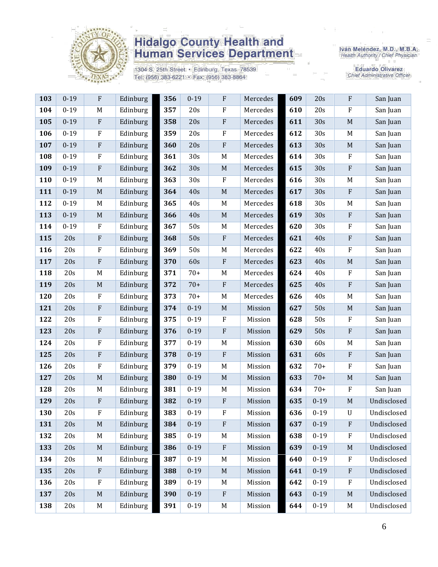

1304 S. 25th Street · Edinburg, Texas 78539 Tel: (956) 383-6221 · Fax: (956) 383-8864

Iván Meléndez, M.D., M.B.A.<br>Health Authority / Chief Physician

| 103 | $0 - 19$ | ${\bf F}$   | Edinburg | 356 | $0 - 19$ | $\rm F$     | Mercedes | 609 | 20s      | ${\bf F}$    | San Juan    |
|-----|----------|-------------|----------|-----|----------|-------------|----------|-----|----------|--------------|-------------|
| 104 | $0 - 19$ | M           | Edinburg | 357 | 20s      | $\rm F$     | Mercedes | 610 | 20s      | $\rm F$      | San Juan    |
| 105 | $0 - 19$ | $\rm F$     | Edinburg | 358 | 20s      | $\rm F$     | Mercedes | 611 | 30s      | $\mathbf M$  | San Juan    |
| 106 | $0 - 19$ | $\rm F$     | Edinburg | 359 | 20s      | $\rm F$     | Mercedes | 612 | 30s      | $\mathbf M$  | San Juan    |
| 107 | $0-19$   | $\rm F$     | Edinburg | 360 | 20s      | ${\bf F}$   | Mercedes | 613 | 30s      | $\mathbf M$  | San Juan    |
| 108 | $0 - 19$ | $\rm F$     | Edinburg | 361 | 30s      | $\mathbf M$ | Mercedes | 614 | 30s      | $\mathbf F$  | San Juan    |
| 109 | $0 - 19$ | ${\bf F}$   | Edinburg | 362 | 30s      | $\mathbf M$ | Mercedes | 615 | 30s      | ${\bf F}$    | San Juan    |
| 110 | $0 - 19$ | M           | Edinburg | 363 | 30s      | $\rm F$     | Mercedes | 616 | 30s      | M            | San Juan    |
| 111 | $0 - 19$ | $\mathbf M$ | Edinburg | 364 | 40s      | $\mathbf M$ | Mercedes | 617 | 30s      | ${\bf F}$    | San Juan    |
| 112 | $0 - 19$ | M           | Edinburg | 365 | 40s      | M           | Mercedes | 618 | 30s      | M            | San Juan    |
| 113 | $0 - 19$ | M           | Edinburg | 366 | 40s      | $\mathbf M$ | Mercedes | 619 | 30s      | ${\bf F}$    | San Juan    |
| 114 | $0 - 19$ | ${\bf F}$   | Edinburg | 367 | 50s      | $M_{\rm}$   | Mercedes | 620 | 30s      | ${\bf F}$    | San Juan    |
| 115 | 20s      | $\rm F$     | Edinburg | 368 | 50s      | ${\bf F}$   | Mercedes | 621 | 40s      | ${\bf F}$    | San Juan    |
| 116 | 20s      | $\rm F$     | Edinburg | 369 | 50s      | $\mathbf M$ | Mercedes | 622 | 40s      | ${\bf F}$    | San Juan    |
| 117 | 20s      | $\rm F$     | Edinburg | 370 | 60s      | ${\bf F}$   | Mercedes | 623 | 40s      | $\mathbf M$  | San Juan    |
| 118 | 20s      | M           | Edinburg | 371 | $70+$    | $\mathbf M$ | Mercedes | 624 | 40s      | $\rm F$      | San Juan    |
| 119 | 20s      | M           | Edinburg | 372 | $70+$    | $\rm F$     | Mercedes | 625 | 40s      | ${\bf F}$    | San Juan    |
| 120 | 20s      | $\rm F$     | Edinburg | 373 | $70+$    | $\mathbf M$ | Mercedes | 626 | 40s      | M            | San Juan    |
| 121 | 20s      | $\rm F$     | Edinburg | 374 | $0 - 19$ | $\mathbf M$ | Mission  | 627 | 50s      | $\mathbf M$  | San Juan    |
| 122 | 20s      | $\rm F$     | Edinburg | 375 | $0 - 19$ | $\rm F$     | Mission  | 628 | 50s      | $\rm F$      | San Juan    |
| 123 | 20s      | ${\bf F}$   | Edinburg | 376 | $0 - 19$ | $\rm F$     | Mission  | 629 | 50s      | $\rm F$      | San Juan    |
| 124 | 20s      | $\rm F$     | Edinburg | 377 | $0 - 19$ | $\mathbf M$ | Mission  | 630 | 60s      | $\mathbf M$  | San Juan    |
| 125 | 20s      | $\rm F$     | Edinburg | 378 | $0 - 19$ | ${\bf F}$   | Mission  | 631 | 60s      | ${\bf F}$    | San Juan    |
| 126 | 20s      | $\rm F$     | Edinburg | 379 | $0 - 19$ | M           | Mission  | 632 | $70+$    | ${\bf F}$    | San Juan    |
| 127 | 20s      | $\mathbf M$ | Edinburg | 380 | $0 - 19$ | $\mathbf M$ | Mission  | 633 | $70+$    | $\mathbf M$  | San Juan    |
| 128 | 20s      | M           | Edinburg | 381 | $0 - 19$ | M           | Mission  | 634 | $70+$    | ${\bf F}$    | San Juan    |
| 129 | 20s      | $\rm F$     | Edinburg | 382 | $0 - 19$ | $\rm F$     | Mission  | 635 | $0 - 19$ | $\mathbf M$  | Undisclosed |
| 130 | 20s      | $\rm F$     | Edinburg | 383 | $0 - 19$ | $\rm F$     | Mission  | 636 | $0 - 19$ | $\mathbf U$  | Undisclosed |
| 131 | 20s      | $\mathbf M$ | Edinburg | 384 | $0 - 19$ | $\rm F$     | Mission  | 637 | $0 - 19$ | $\rm F$      | Undisclosed |
| 132 | 20s      | M           | Edinburg | 385 | $0 - 19$ | M           | Mission  | 638 | $0 - 19$ | $\mathbf F$  | Undisclosed |
| 133 | 20s      | $\mathbf M$ | Edinburg | 386 | $0 - 19$ | $\rm F$     | Mission  | 639 | $0 - 19$ | $\mathbf M$  | Undisclosed |
| 134 | 20s      | M           | Edinburg | 387 | $0 - 19$ | $\mathbf M$ | Mission  | 640 | $0 - 19$ | $\mathbf{F}$ | Undisclosed |
| 135 | 20s      | $\rm F$     | Edinburg | 388 | $0 - 19$ | $\mathbf M$ | Mission  | 641 | $0 - 19$ | ${\bf F}$    | Undisclosed |
| 136 | 20s      | $\rm F$     | Edinburg | 389 | $0 - 19$ | M           | Mission  | 642 | $0 - 19$ | $\rm F$      | Undisclosed |
| 137 | 20s      | M           | Edinburg | 390 | $0 - 19$ | ${\bf F}$   | Mission  | 643 | $0 - 19$ | $\mathbf M$  | Undisclosed |
| 138 | 20s      | M           | Edinburg | 391 | $0 - 19$ | $\mathbf M$ | Mission  | 644 | $0 - 19$ | M            | Undisclosed |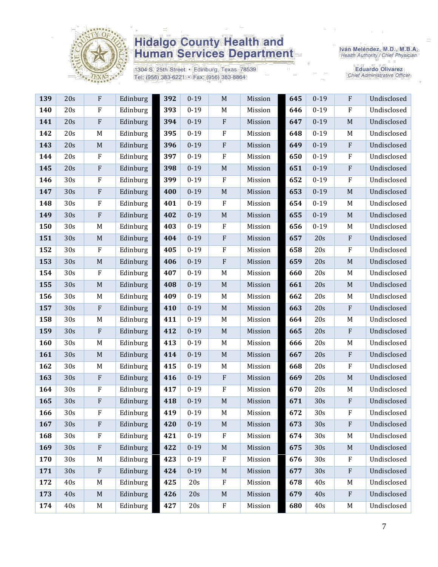

1304 S. 25th Street · Edinburg, Texas 78539 Tel: (956) 383-6221 · Fax: (956) 383-8864

Iván Meléndez, M.D., M.B.A.<br>Health Authority / Chief Physician

| 139 | 20s | ${\bf F}$                 | Edinburg | 392 | $0 - 19$ | $\mathbf M$      | Mission | 645 | $0 - 19$ | $\rm F$          | Undisclosed |
|-----|-----|---------------------------|----------|-----|----------|------------------|---------|-----|----------|------------------|-------------|
| 140 | 20s | ${\bf F}$                 | Edinburg | 393 | $0 - 19$ | M                | Mission | 646 | $0 - 19$ | $\rm F$          | Undisclosed |
| 141 | 20s | ${\bf F}$                 | Edinburg | 394 | $0 - 19$ | ${\bf F}$        | Mission | 647 | $0 - 19$ | M                | Undisclosed |
| 142 | 20s | M                         | Edinburg | 395 | $0 - 19$ | ${\bf F}$        | Mission | 648 | $0 - 19$ | M                | Undisclosed |
| 143 | 20s | $\mathbf M$               | Edinburg | 396 | $0 - 19$ | ${\bf F}$        | Mission | 649 | $0 - 19$ | $\rm F$          | Undisclosed |
| 144 | 20s | ${\bf F}$                 | Edinburg | 397 | $0 - 19$ | ${\bf F}$        | Mission | 650 | $0 - 19$ | $\rm F$          | Undisclosed |
| 145 | 20s | ${\bf F}$                 | Edinburg | 398 | $0 - 19$ | M                | Mission | 651 | $0 - 19$ | $\rm F$          | Undisclosed |
| 146 | 30s | $\rm F$                   | Edinburg | 399 | $0 - 19$ | $\rm F$          | Mission | 652 | $0 - 19$ | $\rm F$          | Undisclosed |
| 147 | 30s | ${\bf F}$                 | Edinburg | 400 | $0 - 19$ | $\mathbf M$      | Mission | 653 | $0 - 19$ | $\mathbf M$      | Undisclosed |
| 148 | 30s | F                         | Edinburg | 401 | $0 - 19$ | $\mathbf F$      | Mission | 654 | $0 - 19$ | M                | Undisclosed |
| 149 | 30s | ${\bf F}$                 | Edinburg | 402 | $0 - 19$ | $\mathbf M$      | Mission | 655 | $0 - 19$ | M                | Undisclosed |
| 150 | 30s | M                         | Edinburg | 403 | $0 - 19$ | $\rm F$          | Mission | 656 | $0 - 19$ | M                | Undisclosed |
| 151 | 30s | $\mathbf M$               | Edinburg | 404 | $0 - 19$ | ${\bf F}$        | Mission | 657 | 20s      | $\mathbf{F}$     | Undisclosed |
| 152 | 30s | ${\bf F}$                 | Edinburg | 405 | $0 - 19$ | $\boldsymbol{F}$ | Mission | 658 | 20s      | $\boldsymbol{F}$ | Undisclosed |
| 153 | 30s | $\mathbf M$               | Edinburg | 406 | $0 - 19$ | ${\bf F}$        | Mission | 659 | 20s      | M                | Undisclosed |
| 154 | 30s | ${\bf F}$                 | Edinburg | 407 | $0 - 19$ | M                | Mission | 660 | 20s      | M                | Undisclosed |
| 155 | 30s | $\mathbf M$               | Edinburg | 408 | $0 - 19$ | $\mathbf M$      | Mission | 661 | 20s      | M                | Undisclosed |
| 156 | 30s | M                         | Edinburg | 409 | $0 - 19$ | M                | Mission | 662 | 20s      | M                | Undisclosed |
| 157 | 30s | ${\bf F}$                 | Edinburg | 410 | $0 - 19$ | $\mathbf M$      | Mission | 663 | 20s      | $\rm F$          | Undisclosed |
| 158 | 30s | M                         | Edinburg | 411 | $0 - 19$ | $M_{\odot}$      | Mission | 664 | 20s      | M                | Undisclosed |
| 159 | 30s | ${\bf F}$                 | Edinburg | 412 | $0 - 19$ | $\mathbf M$      | Mission | 665 | 20s      | $\rm F$          | Undisclosed |
| 160 | 30s | M                         | Edinburg | 413 | $0 - 19$ | $M_{\odot}$      | Mission | 666 | 20s      | M                | Undisclosed |
| 161 | 30s | $\mathbf M$               | Edinburg | 414 | $0 - 19$ | $\mathbf M$      | Mission | 667 | 20s      | $\rm F$          | Undisclosed |
| 162 | 30s | M                         | Edinburg | 415 | $0 - 19$ | M                | Mission | 668 | 20s      | $\rm F$          | Undisclosed |
| 163 | 30s | ${\bf F}$                 | Edinburg | 416 | $0 - 19$ | ${\bf F}$        | Mission | 669 | 20s      | M                | Undisclosed |
| 164 | 30s | ${\bf F}$                 | Edinburg | 417 | $0 - 19$ | ${\bf F}$        | Mission | 670 | 20s      | M                | Undisclosed |
| 165 | 30s | ${\bf F}$                 | Edinburg | 418 | $0 - 19$ | $\mathbf M$      | Mission | 671 | 30s      | $\mathbf{F}$     | Undisclosed |
| 166 | 30s | ${\bf F}$                 | Edinburg | 419 | $0 - 19$ | M                | Mission | 672 | 30s      | ${\bf F}$        | Undisclosed |
| 167 | 30s | ${\bf F}$                 | Edinburg | 420 | $0 - 19$ | $\mathbf M$      | Mission | 673 | 30s      | $\mathbf{F}$     | Undisclosed |
| 168 | 30s | ${\bf F}$                 | Edinburg | 421 | $0 - 19$ | ${\bf F}$        | Mission | 674 | 30s      | M                | Undisclosed |
| 169 | 30s | ${\bf F}$                 | Edinburg | 422 | $0 - 19$ | $\mathbf M$      | Mission | 675 | 30s      | M                | Undisclosed |
| 170 | 30s | M                         | Edinburg | 423 | $0 - 19$ | $\rm F$          | Mission | 676 | 30s      | $\rm F$          | Undisclosed |
| 171 | 30s | $\boldsymbol{\mathrm{F}}$ | Edinburg | 424 | $0 - 19$ | $\mathbf M$      | Mission | 677 | 30s      | $\rm F$          | Undisclosed |
| 172 | 40s | M                         | Edinburg | 425 | 20s      | $\rm F$          | Mission | 678 | 40s      | M                | Undisclosed |
| 173 | 40s | M                         | Edinburg | 426 | 20s      | $\mathbf M$      | Mission | 679 | 40s      | $\mathbf{F}$     | Undisclosed |
| 174 | 40s | $M_{\odot}$               | Edinburg | 427 | 20s      | ${\bf F}$        | Mission | 680 | 40s      | M                | Undisclosed |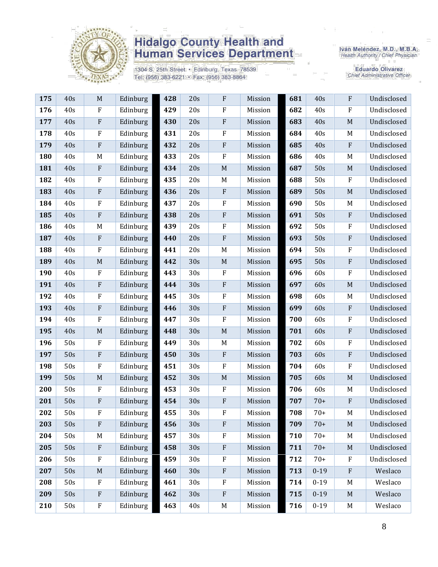

1304 S. 25th Street · Edinburg, Texas 78539 Tel: (956) 383-6221 · Fax: (956) 383-8864

Iván Meléndez, M.D., M.B.A.<br>Health Authority / Chief Physician

| 175 | 40s | $\mathbf M$               | Edinburg | 428 | 20s | F                         | Mission | 681 | 40s      | $\mathbf{F}$ | Undisclosed |
|-----|-----|---------------------------|----------|-----|-----|---------------------------|---------|-----|----------|--------------|-------------|
| 176 | 40s | ${\bf F}$                 | Edinburg | 429 | 20s | $\rm F$                   | Mission | 682 | 40s      | $\rm F$      | Undisclosed |
| 177 | 40s | ${\bf F}$                 | Edinburg | 430 | 20s | $\rm F$                   | Mission | 683 | 40s      | M            | Undisclosed |
| 178 | 40s | F                         | Edinburg | 431 | 20s | $\mathbf F$               | Mission | 684 | 40s      | M            | Undisclosed |
| 179 | 40s | ${\bf F}$                 | Edinburg | 432 | 20s | $\rm F$                   | Mission | 685 | 40s      | ${\bf F}$    | Undisclosed |
| 180 | 40s | $\mathbf M$               | Edinburg | 433 | 20s | $\rm F$                   | Mission | 686 | 40s      | M            | Undisclosed |
| 181 | 40s | $\boldsymbol{\mathrm{F}}$ | Edinburg | 434 | 20s | $\mathbf M$               | Mission | 687 | 50s      | M            | Undisclosed |
| 182 | 40s | $\rm F$                   | Edinburg | 435 | 20s | $M_{\rm}$                 | Mission | 688 | 50s      | $\rm F$      | Undisclosed |
| 183 | 40s | ${\bf F}$                 | Edinburg | 436 | 20s | $\rm F$                   | Mission | 689 | 50s      | $\mathbf M$  | Undisclosed |
| 184 | 40s | F                         | Edinburg | 437 | 20s | $\mathbf F$               | Mission | 690 | 50s      | M            | Undisclosed |
| 185 | 40s | ${\bf F}$                 | Edinburg | 438 | 20s | $\rm F$                   | Mission | 691 | 50s      | $\rm F$      | Undisclosed |
| 186 | 40s | M                         | Edinburg | 439 | 20s | $\rm F$                   | Mission | 692 | 50s      | $\rm F$      | Undisclosed |
| 187 | 40s | ${\bf F}$                 | Edinburg | 440 | 20s | $\rm F$                   | Mission | 693 | 50s      | ${\bf F}$    | Undisclosed |
| 188 | 40s | ${\bf F}$                 | Edinburg | 441 | 20s | M                         | Mission | 694 | 50s      | $\rm F$      | Undisclosed |
| 189 | 40s | $\mathbf M$               | Edinburg | 442 | 30s | $\mathbf M$               | Mission | 695 | 50s      | $\rm F$      | Undisclosed |
| 190 | 40s | $\rm F$                   | Edinburg | 443 | 30s | $\rm F$                   | Mission | 696 | 60s      | $\rm F$      | Undisclosed |
| 191 | 40s | ${\bf F}$                 | Edinburg | 444 | 30s | $\rm F$                   | Mission | 697 | 60s      | $\mathbf M$  | Undisclosed |
| 192 | 40s | $\rm F$                   | Edinburg | 445 | 30s | $\mathbf F$               | Mission | 698 | 60s      | M            | Undisclosed |
| 193 | 40s | ${\bf F}$                 | Edinburg | 446 | 30s | $\rm F$                   | Mission | 699 | 60s      | ${\bf F}$    | Undisclosed |
| 194 | 40s | ${\bf F}$                 | Edinburg | 447 | 30s | $\rm F$                   | Mission | 700 | 60s      | $\rm F$      | Undisclosed |
| 195 | 40s | $\mathbf M$               | Edinburg | 448 | 30s | $\mathbf M$               | Mission | 701 | 60s      | $\rm F$      | Undisclosed |
| 196 | 50s | $\mathbf{F}$              | Edinburg | 449 | 30s | $M_{\rm}$                 | Mission | 702 | 60s      | $\rm F$      | Undisclosed |
| 197 | 50s | ${\bf F}$                 | Edinburg | 450 | 30s | $\rm F$                   | Mission | 703 | 60s      | ${\bf F}$    | Undisclosed |
| 198 | 50s | F                         | Edinburg | 451 | 30s | $\mathbf F$               | Mission | 704 | 60s      | $\rm F$      | Undisclosed |
| 199 | 50s | $\mathbf M$               | Edinburg | 452 | 30s | $\mathbf M$               | Mission | 705 | 60s      | $\mathbf M$  | Undisclosed |
| 200 | 50s | ${\bf F}$                 | Edinburg | 453 | 30s | $\rm F$                   | Mission | 706 | 60s      | M            | Undisclosed |
| 201 | 50s | F                         | Edinburg | 454 | 30s | $\boldsymbol{\mathrm{F}}$ | Mission | 707 | $70+$    | ${\bf F}$    | Undisclosed |
| 202 | 50s | F                         | Edinburg | 455 | 30s | $\boldsymbol{\mathrm{F}}$ | Mission | 708 | $70+$    | M            | Undisclosed |
| 203 | 50s | F                         | Edinburg | 456 | 30s | ${\bf F}$                 | Mission | 709 | $70+$    | M            | Undisclosed |
| 204 | 50s | M                         | Edinburg | 457 | 30s | ${\bf F}$                 | Mission | 710 | $70+$    | M            | Undisclosed |
| 205 | 50s | $\boldsymbol{\mathrm{F}}$ | Edinburg | 458 | 30s | $\rm F$                   | Mission | 711 | $70+$    | M            | Undisclosed |
| 206 | 50s | ${\bf F}$                 | Edinburg | 459 | 30s | ${\bf F}$                 | Mission | 712 | $70+$    | $\mathbf{F}$ | Undisclosed |
| 207 | 50s | $\mathbf M$               | Edinburg | 460 | 30s | $\rm F$                   | Mission | 713 | $0 - 19$ | $\rm F$      | Weslaco     |
| 208 | 50s | F                         | Edinburg | 461 | 30s | $\rm F$                   | Mission | 714 | $0 - 19$ | M            | Weslaco     |
| 209 | 50s | $\boldsymbol{\mathrm{F}}$ | Edinburg | 462 | 30s | $\rm F$                   | Mission | 715 | $0 - 19$ | M            | Weslaco     |
| 210 | 50s | ${\bf F}$                 | Edinburg | 463 | 40s | M                         | Mission | 716 | $0 - 19$ | M            | Weslaco     |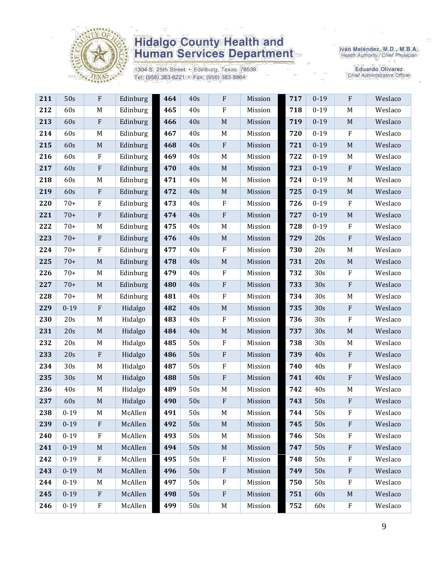

1304 S. 25th Street · Edinburg, Texas 78539 Tel: (956) 383-6221 · Fax: (956) 383-8864

Iván Meléndez, M.D., M.B.A.<br>Health Authority / Chief Physician

| 211 | 50s      | F                         | Edinburg | 464 | 40s | ${\bf F}$                 | Mission | 717 | $0 - 19$ | ${\bf F}$    | Weslaco |
|-----|----------|---------------------------|----------|-----|-----|---------------------------|---------|-----|----------|--------------|---------|
| 212 | 60s      | M                         | Edinburg | 465 | 40s | $\rm F$                   | Mission | 718 | $0 - 19$ | M            | Weslaco |
| 213 | 60s      | $\boldsymbol{\mathrm{F}}$ | Edinburg | 466 | 40s | $\mathbf M$               | Mission | 719 | $0 - 19$ | $\mathbf M$  | Weslaco |
| 214 | 60s      | M                         | Edinburg | 467 | 40s | M                         | Mission | 720 | $0 - 19$ | $\rm F$      | Weslaco |
| 215 | 60s      | $\mathbf M$               | Edinburg | 468 | 40s | ${\bf F}$                 | Mission | 721 | $0 - 19$ | $\mathbf M$  | Weslaco |
| 216 | 60s      | ${\bf F}$                 | Edinburg | 469 | 40s | $\mathbf M$               | Mission | 722 | $0 - 19$ | M            | Weslaco |
| 217 | 60s      | ${\bf F}$                 | Edinburg | 470 | 40s | $\mathbf M$               | Mission | 723 | $0 - 19$ | $\rm F$      | Weslaco |
| 218 | 60s      | M                         | Edinburg | 471 | 40s | $M_{\rm}$                 | Mission | 724 | $0 - 19$ | M            | Weslaco |
| 219 | 60s      | $\boldsymbol{\mathrm{F}}$ | Edinburg | 472 | 40s | $\mathbf M$               | Mission | 725 | $0 - 19$ | $\mathbf M$  | Weslaco |
| 220 | $70+$    | $\rm F$                   | Edinburg | 473 | 40s | $\rm F$                   | Mission | 726 | $0 - 19$ | $\mathbf{F}$ | Weslaco |
| 221 | $70+$    | ${\bf F}$                 | Edinburg | 474 | 40s | $\rm F$                   | Mission | 727 | $0 - 19$ | $\mathbf M$  | Weslaco |
| 222 | $70+$    | M                         | Edinburg | 475 | 40s | $\mathbf M$               | Mission | 728 | $0 - 19$ | $\rm F$      | Weslaco |
| 223 | $70+$    | ${\bf F}$                 | Edinburg | 476 | 40s | $\mathbf M$               | Mission | 729 | 20s      | ${\bf F}$    | Weslaco |
| 224 | $70+$    | ${\bf F}$                 | Edinburg | 477 | 40s | $\rm F$                   | Mission | 730 | 20s      | M            | Weslaco |
| 225 | $70+$    | $\mathbf M$               | Edinburg | 478 | 40s | $\mathbf M$               | Mission | 731 | 20s      | $\mathbf M$  | Weslaco |
| 226 | $70+$    | M                         | Edinburg | 479 | 40s | $\rm F$                   | Mission | 732 | 30s      | $\rm F$      | Weslaco |
| 227 | $70+$    | $\mathbf M$               | Edinburg | 480 | 40s | $\rm F$                   | Mission | 733 | 30s      | ${\bf F}$    | Weslaco |
| 228 | $70+$    | M                         | Edinburg | 481 | 40s | $\rm F$                   | Mission | 734 | 30s      | M            | Weslaco |
| 229 | $0 - 19$ | ${\bf F}$                 | Hidalgo  | 482 | 40s | $\mathbf M$               | Mission | 735 | 30s      | ${\bf F}$    | Weslaco |
| 230 | 20s      | $\mathbf M$               | Hidalgo  | 483 | 40s | $\rm F$                   | Mission | 736 | 30s      | $\rm F$      | Weslaco |
| 231 | 20s      | $\mathbf M$               | Hidalgo  | 484 | 40s | $\mathbf M$               | Mission | 737 | 30s      | $\mathbf M$  | Weslaco |
| 232 | 20s      | M                         | Hidalgo  | 485 | 50s | $\rm F$                   | Mission | 738 | 30s      | M            | Weslaco |
| 233 | 20s      | ${\bf F}$                 | Hidalgo  | 486 | 50s | $\rm F$                   | Mission | 739 | 40s      | $\rm F$      | Weslaco |
| 234 | 30s      | M                         | Hidalgo  | 487 | 50s | $\rm F$                   | Mission | 740 | 40s      | $\rm F$      | Weslaco |
| 235 | 30s      | $\mathbf M$               | Hidalgo  | 488 | 50s | $\rm F$                   | Mission | 741 | 40s      | $\rm F$      | Weslaco |
| 236 | 40s      | M                         | Hidalgo  | 489 | 50s | M                         | Mission | 742 | 40s      | M            | Weslaco |
| 237 | 60s      | $\mathbf M$               | Hidalgo  | 490 | 50s | $\rm F$                   | Mission | 743 | 50s      | $\rm F$      | Weslaco |
| 238 | $0 - 19$ | M                         | McAllen  | 491 | 50s | M                         | Mission | 744 | 50s      | F            | Weslaco |
| 239 | $0 - 19$ | F                         | McAllen  | 492 | 50s | $\mathbf M$               | Mission | 745 | 50s      | ${\bf F}$    | Weslaco |
| 240 | $0 - 19$ | F                         | McAllen  | 493 | 50s | M                         | Mission | 746 | 50s      | F            | Weslaco |
| 241 | $0 - 19$ | $\mathbf M$               | McAllen  | 494 | 50s | $M_{\odot}$               | Mission | 747 | 50s      | $\rm F$      | Weslaco |
| 242 | $0 - 19$ | $\boldsymbol{\mathrm{F}}$ | McAllen  | 495 | 50s | $\rm F$                   | Mission | 748 | 50s      | $\rm F$      | Weslaco |
| 243 | $0-19$   | M                         | McAllen  | 496 | 50s | $\rm F$                   | Mission | 749 | 50s      | ${\bf F}$    | Weslaco |
| 244 | $0 - 19$ | M                         | McAllen  | 497 | 50s | $\boldsymbol{\mathrm{F}}$ | Mission | 750 | 50s      | $\rm F$      | Weslaco |
| 245 | $0 - 19$ | $\mathbf{F}$              | McAllen  | 498 | 50s | $\boldsymbol{\mathrm{F}}$ | Mission | 751 | 60s      | $M_{\odot}$  | Weslaco |
| 246 | $0 - 19$ | ${\bf F}$                 | McAllen  | 499 | 50s | $\mathbf M$               | Mission | 752 | 60s      | ${\bf F}$    | Weslaco |